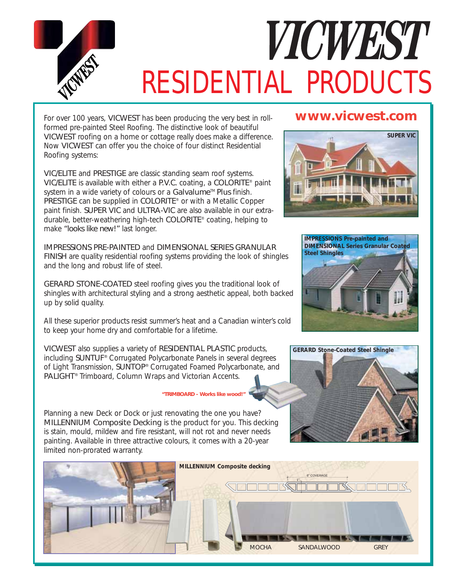

## VICWEST *RESIDENTIAL PRODUCTS*

For over 100 years, VICWEST has been producing the very best in rollformed pre-painted Steel Roofing. The distinctive look of beautiful VICWEST roofing on a home or cottage really does make a difference. Now VICWEST can offer you the choice of four distinct Residential Roofing systems:

VIC/ELITE and PRESTIGE are classic standing seam roof systems. VIC/ELITE is available with either a P.V.C. coating, a COLORITE® paint system in a wide variety of colours or a Galvalume™ Plus finish. PRESTIGE can be supplied in COLORITE® or with a Metallic Copper paint finish. SUPER VIC and ULTRA-VIC are also available in our extradurable, better-weathering high-tech COLORITE® coating, helping to make *"looks like new!"* last longer.

IMPRESSIONS PRE-PAINTED and DIMENSIONAL SERIES GRANULAR FINISH are quality residential roofing systems providing the look of shingles and the long and robust life of steel.

GERARD STONE-COATED steel roofing gives you the traditional look of shingles with architectural styling and a strong aesthetic appeal, both backed up by solid quality.

All these superior products resist summer's heat and a Canadian winter's cold to keep your home dry and comfortable for a lifetime.

VICWEST also supplies a variety of RESIDENTIAL PLASTIC products, including SUNTUF® Corrugated Polycarbonate Panels in several degrees of Light Transmission, SUNTOP® Corrugated Foamed Polycarbonate, and PALIGHT® Trimboard, Column Wraps and Victorian Accents.

## *"TRIMBOARD - Works like wood!"*

Planning a new Deck or Dock or just renovating the one you have? MILLENNIUM Composite Decking is the product for you. This decking is stain, mould, mildew and fire resistant, will not rot and never needs painting. Available in three attractive colours, it comes with a 20-year limited non-prorated warranty.

## **www.vicwest.com**